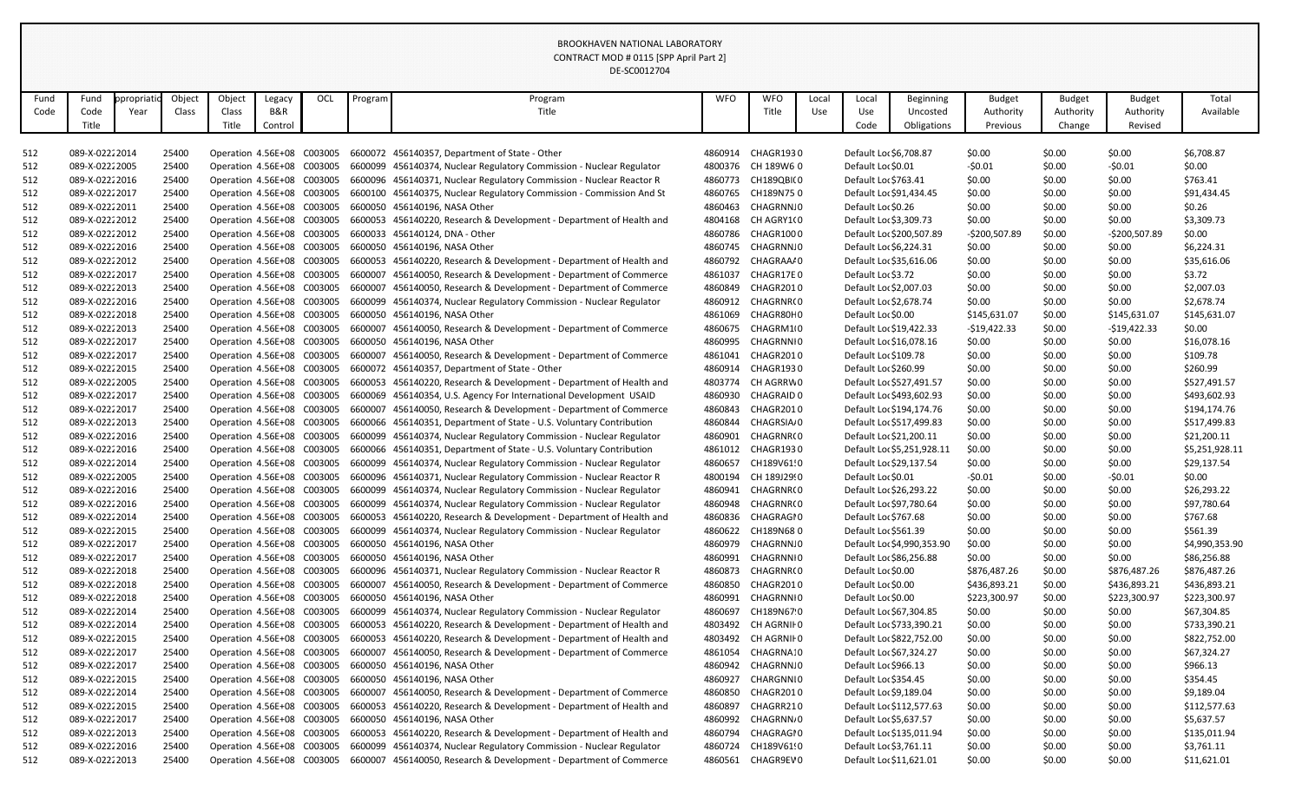|      |                 |          |        |                            |         |     |         | DE-SC0012704                                                         |            |                       |       |                        |                            |               |               |               |                |
|------|-----------------|----------|--------|----------------------------|---------|-----|---------|----------------------------------------------------------------------|------------|-----------------------|-------|------------------------|----------------------------|---------------|---------------|---------------|----------------|
| Fund | Fund            | propriat | Object | Object                     | Legacy  | OCL | Program | Program                                                              | <b>WFO</b> | <b>WFO</b>            | Local | Local                  | Beginning                  | <b>Budget</b> | <b>Budget</b> | <b>Budget</b> | Total          |
| Code | Code            | Year     | Class  | Class                      | B&R     |     |         | Title                                                                |            | Title                 | Use   | Use                    | Uncosted                   | Authority     | Authority     | Authority     | Available      |
|      | Title           |          |        | Title                      | Control |     |         |                                                                      |            |                       |       | Code                   | Obligations                | Previous      | Change        | Revised       |                |
|      |                 |          |        |                            |         |     |         |                                                                      |            |                       |       |                        |                            |               |               |               |                |
| 512  | 089-X-02222014  |          | 25400  | Operation 4.56E+08 C003005 |         |     |         | 6600072 456140357, Department of State - Other                       | 4860914    | CHAGR1930             |       | Default Loc \$6,708.87 |                            | \$0.00        | \$0.00        | \$0.00        | \$6,708.87     |
| 512  | 089-X-0222 2005 |          | 25400  | Operation 4.56E+08 C003005 |         |     | 6600099 | 456140374, Nuclear Regulatory Commission - Nuclear Regulator         | 4800376    | CH 189W6 0            |       | Default Loc \$0.01     |                            | $-50.01$      | \$0.00        | $-50.01$      | \$0.00         |
| 512  | 089-X-02222016  |          | 25400  | Operation 4.56E+08 C003005 |         |     |         | 6600096 456140371, Nuclear Regulatory Commission - Nuclear Reactor R | 4860773    | CH189QBI(0            |       | Default Loc \$763.41   |                            | \$0.00        | \$0.00        | \$0.00        | \$763.41       |
| 512  | 089-X-0222 2017 |          | 25400  | Operation 4.56E+08 C003005 |         |     | 6600100 | 456140375, Nuclear Regulatory Commission - Commission And St         | 4860765    | CH189N750             |       |                        | Default Loc \$91,434.45    | \$0.00        | \$0.00        | \$0.00        | \$91,434.45    |
| 512  | 089-X-0222 2011 |          | 25400  | Operation 4.56E+08 C003005 |         |     |         | 6600050 456140196, NASA Other                                        | 4860463    | CHAGRNN.0             |       | Default Loc \$0.26     |                            | \$0.00        | \$0.00        | \$0.00        | \$0.26         |
| 512  | 089-X-0222 2012 |          | 25400  | Operation 4.56E+08 C003005 |         |     |         | 6600053 456140220, Research & Development - Department of Health and |            | 4804168 CH AGRY1(0    |       |                        | Default Loc \$3,309.73     | \$0.00        | \$0.00        | \$0.00        | \$3,309.73     |
| 512  | 089-X-02222012  |          | 25400  | Operation 4.56E+08 C003005 |         |     |         | 6600033 456140124, DNA - Other                                       | 4860786    | CHAGR1000             |       |                        | Default Loc \$200,507.89   | -\$200,507.89 | \$0.00        | -\$200,507.89 | \$0.00         |
| 512  | 089-X-02222016  |          | 25400  | Operation 4.56E+08 C003005 |         |     |         | 6600050 456140196, NASA Other                                        | 4860745    | CHAGRNN.0             |       |                        | Default Loc \$6,224.31     | \$0.00        | \$0.00        | \$0.00        | \$6,224.31     |
| 512  | 089-X-02222012  |          | 25400  | Operation 4.56E+08 C003005 |         |     |         | 6600053 456140220, Research & Development - Department of Health and | 4860792    | CHAGRAA/0             |       |                        | Default Loc \$35,616.06    | \$0.00        | \$0.00        | \$0.00        | \$35,616.06    |
| 512  | 089-X-0222 2017 |          | 25400  | Operation 4.56E+08 C003005 |         |     | 6600007 | 456140050, Research & Development - Department of Commerce           | 4861037    | CHAGR17E0             |       | Default Loc \$3.72     |                            | \$0.00        | \$0.00        | \$0.00        | \$3.72         |
| 512  | 089-X-02222013  |          | 25400  | Operation 4.56E+08 C003005 |         |     | 6600007 | 456140050, Research & Development - Department of Commerce           | 4860849    | CHAGR2010             |       |                        | Default Loc \$2,007.03     | \$0.00        | \$0.00        | \$0.00        | \$2,007.03     |
| 512  | 089-X-0222 2016 |          | 25400  | Operation 4.56E+08 C003005 |         |     |         | 6600099 456140374, Nuclear Regulatory Commission - Nuclear Regulator | 4860912    | CHAGRNR(0             |       |                        | Default Loc \$2,678.74     | \$0.00        | \$0.00        | \$0.00        | \$2,678.74     |
| 512  | 089-X-02222018  |          | 25400  | Operation 4.56E+08 C003005 |         |     |         | 6600050 456140196, NASA Other                                        | 4861069    | CHAGR80H0             |       | Default Lor \$0.00     |                            | \$145,631.07  | \$0.00        | \$145,631.07  | \$145,631.07   |
| 512  | 089-X-0222 2013 |          | 25400  | Operation 4.56E+08 C003005 |         |     | 6600007 | 456140050, Research & Development - Department of Commerce           | 4860675    | CHAGRM10              |       |                        | Default Loc \$19,422.33    | $-$19,422.33$ | \$0.00        | $-519,422.33$ | \$0.00         |
| 512  | 089-X-0222 2017 |          | 25400  | Operation 4.56E+08 C003005 |         |     |         | 6600050 456140196, NASA Other                                        | 4860995    | CHAGRNNI 0            |       |                        | Default Loc \$16,078.16    | \$0.00        | \$0.00        | \$0.00        | \$16,078.16    |
| 512  | 089-X-0222 2017 |          | 25400  | Operation 4.56E+08 C003005 |         |     |         | 6600007 456140050, Research & Development - Department of Commerce   | 4861041    | CHAGR2010             |       | Default Loc \$109.78   |                            | \$0.00        | \$0.00        | \$0.00        | \$109.78       |
| 512  | 089-X-02222015  |          | 25400  | Operation 4.56E+08 C003005 |         |     | 6600072 | 456140357, Department of State - Other                               | 4860914    | CHAGR1930             |       | Default Loc \$260.99   |                            | \$0.00        | \$0.00        | \$0.00        | \$260.99       |
| 512  | 089-X-02222005  |          | 25400  | Operation 4.56E+08 C003005 |         |     |         | 6600053 456140220, Research & Development - Department of Health and | 4803774    | CH AGRRW 0            |       |                        | Default Lor \$527,491.57   | \$0.00        | \$0.00        | \$0.00        | \$527,491.57   |
| 512  | 089-X-0222 2017 |          | 25400  | Operation 4.56E+08 C003005 |         |     |         | 6600069 456140354, U.S. Agency For International Development USAID   | 4860930    | CHAGRAID 0            |       |                        | Default Loc \$493,602.93   | \$0.00        | \$0.00        | \$0.00        | \$493,602.93   |
| 512  | 089-X-0222 2017 |          | 25400  | Operation 4.56E+08 C003005 |         |     |         | 6600007 456140050, Research & Development - Department of Commerce   | 4860843    | CHAGR2010             |       |                        | Default Loc \$194,174.76   | \$0.00        | \$0.00        | \$0.00        | \$194,174.76   |
| 512  | 089-X-02222013  |          | 25400  | Operation 4.56E+08 C003005 |         |     |         | 6600066 456140351, Department of State - U.S. Voluntary Contribution | 4860844    | CHAGRSIA <sub>0</sub> |       |                        | Default Loc \$517,499.83   | \$0.00        | \$0.00        | \$0.00        | \$517,499.83   |
| 512  | 089-X-02222016  |          | 25400  | Operation 4.56E+08 C003005 |         |     | 6600099 | 456140374, Nuclear Regulatory Commission - Nuclear Regulator         | 4860901    | CHAGRNR(0             |       |                        | Default Lor \$21,200.11    | \$0.00        | \$0.00        | \$0.00        | \$21,200.11    |
| 512  | 089-X-02222016  |          | 25400  | Operation 4.56E+08 C003005 |         |     |         | 6600066 456140351, Department of State - U.S. Voluntary Contribution | 4861012    | CHAGR1930             |       |                        | Default Loc \$5,251,928.11 | \$0.00        | \$0.00        | \$0.00        | \$5,251,928.11 |
| 512  | 089-X-0222 2014 |          | 25400  | Operation 4.56E+08 C003005 |         |     |         | 6600099 456140374, Nuclear Regulatory Commission - Nuclear Regulator | 4860657    | CH189V61!0            |       |                        | Default Loc \$29,137.54    | \$0.00        | \$0.00        | \$0.00        | \$29,137.54    |
| 512  | 089-X-02222005  |          | 25400  | Operation 4.56E+08 C003005 |         |     |         | 6600096 456140371, Nuclear Regulatory Commission - Nuclear Reactor R | 4800194    | CH 189J29!0           |       | Default Loc \$0.01     |                            | $-50.01$      | \$0.00        | $-50.01$      | \$0.00         |
| 512  | 089-X-02222016  |          | 25400  | Operation 4.56E+08 C003005 |         |     |         | 6600099 456140374, Nuclear Regulatory Commission - Nuclear Regulator | 4860941    | CHAGRNR(0             |       |                        | Default Lo: \$26,293.22    | \$0.00        | \$0.00        | \$0.00        | \$26,293.22    |
| 512  | 089-X-02222016  |          | 25400  | Operation 4.56E+08 C003005 |         |     |         | 6600099 456140374, Nuclear Regulatory Commission - Nuclear Regulator |            | 4860948 CHAGRNR(0     |       |                        | Default Loc \$97,780.64    | \$0.00        | \$0.00        | \$0.00        | \$97,780.64    |
| 512  | 089-X-02222014  |          | 25400  | Operation 4.56E+08 C003005 |         |     |         | 6600053 456140220, Research & Development - Department of Health and | 4860836    | CHAGRAGI 0            |       | Default Loc \$767.68   |                            | \$0.00        | \$0.00        | \$0.00        | \$767.68       |
| 512  | 089-X-02222015  |          | 25400  | Operation 4.56E+08 C003005 |         |     |         | 6600099 456140374, Nuclear Regulatory Commission - Nuclear Regulator | 4860622    | CH189N680             |       | Default Loc \$561.39   |                            | \$0.00        | \$0.00        | \$0.00        | \$561.39       |
| 512  | 089-X-0222 2017 |          | 25400  | Operation 4.56E+08 C003005 |         |     |         | 6600050 456140196, NASA Other                                        | 4860979    | CHAGRNN.0             |       |                        | Default Loc \$4,990,353.90 | \$0.00        | \$0.00        | \$0.00        | \$4,990,353.90 |
| 512  | 089-X-02222017  |          | 25400  | Operation 4.56E+08 C003005 |         |     |         | 6600050 456140196, NASA Other                                        | 4860991    | CHAGRNNI 0            |       |                        | Default Loc \$86,256.88    | \$0.00        | \$0.00        | \$0.00        | \$86,256.88    |
| 512  | 089-X-02222018  |          | 25400  | Operation 4.56E+08 C003005 |         |     |         | 6600096 456140371, Nuclear Regulatory Commission - Nuclear Reactor R | 4860873    | CHAGRNR(0             |       | Default Lor \$0.00     |                            | \$876,487.26  | \$0.00        | \$876,487.26  | \$876,487.26   |
| 512  | 089-X-0222 2018 |          | 25400  | Operation 4.56E+08 C003005 |         |     |         | 6600007 456140050, Research & Development - Department of Commerce   | 4860850    | CHAGR2010             |       | Default Lor \$0.00     |                            | \$436,893.21  | \$0.00        | \$436,893.21  | \$436,893.21   |
| 512  | 089-X-02222018  |          | 25400  | Operation 4.56E+08 C003005 |         |     |         | 6600050 456140196, NASA Other                                        | 4860991    | CHAGRNNI 0            |       | Default Loc \$0.00     |                            | \$223,300.97  | \$0.00        | \$223,300.97  | \$223,300.97   |
| 512  | 089-X-02222014  |          | 25400  | Operation 4.56E+08 C003005 |         |     |         | 6600099 456140374, Nuclear Regulatory Commission - Nuclear Regulator | 4860697    | CH189N67 0            |       |                        | Default Loc \$67,304.85    | \$0.00        | \$0.00        | \$0.00        | \$67,304.85    |
| 512  | 089-X-02222014  |          | 25400  | Operation 4.56E+08 C003005 |         |     |         | 6600053 456140220, Research & Development - Department of Health and | 4803492    | CH AGRNII 0           |       |                        | Default Loc \$733,390.21   | \$0.00        | \$0.00        | \$0.00        | \$733,390.21   |
| 512  | 089-X-02222015  |          | 25400  | Operation 4.56E+08 C003005 |         |     |         | 6600053 456140220, Research & Development - Department of Health and | 4803492    | CH AGRNII 0           |       |                        | Default Lor \$822,752.00   | \$0.00        | \$0.00        | \$0.00        | \$822,752.00   |
| 512  | 089-X-02222017  |          | 25400  | Operation 4.56E+08 C003005 |         |     |         | 6600007 456140050, Research & Development - Department of Commerce   | 4861054    | CHAGRNA: 0            |       |                        | Default Loc \$67,324.27    | \$0.00        | \$0.00        | \$0.00        | \$67,324.27    |
| 512  | 089-X-0222 2017 |          | 25400  | Operation 4.56E+08 C003005 |         |     |         | 6600050 456140196, NASA Other                                        |            | 4860942 CHAGRNN.0     |       | Default Loc \$966.13   |                            | \$0.00        | \$0.00        | \$0.00        | \$966.13       |
| 512  | 089-X-02222015  |          | 25400  | Operation 4.56E+08 C003005 |         |     |         | 6600050 456140196, NASA Other                                        | 4860927    | CHARGNNI 0            |       | Default Lor \$354.45   |                            | \$0.00        | \$0.00        | \$0.00        | \$354.45       |
| 512  | 089-X-02222014  |          | 25400  | Operation 4.56E+08 C003005 |         |     |         | 6600007 456140050, Research & Development - Department of Commerce   | 4860850    | CHAGR2010             |       |                        | Default Loc \$9,189.04     | \$0.00        | \$0.00        | \$0.00        | \$9,189.04     |
| 512  | 089-X-02222015  |          | 25400  | Operation 4.56E+08 C003005 |         |     |         | 6600053 456140220, Research & Development - Department of Health and | 4860897    | CHAGRR210             |       |                        | Default Loc \$112,577.63   | \$0.00        | \$0.00        | \$0.00        | \$112,577.63   |
| 512  | 089-X-0222 2017 |          | 25400  | Operation 4.56E+08 C003005 |         |     |         | 6600050 456140196, NASA Other                                        | 4860992    | CHAGRNN <sub>0</sub>  |       |                        | Default Loc \$5,637.57     | \$0.00        | \$0.00        | \$0.00        | \$5,637.57     |
| 512  | 089-X-02222013  |          | 25400  | Operation 4.56E+08 C003005 |         |     |         | 6600053 456140220, Research & Development - Department of Health and | 4860794    | CHAGRAGI0             |       |                        | Default Loc \$135,011.94   | \$0.00        | \$0.00        | \$0.00        | \$135,011.94   |
| 512  | 089-X-02222016  |          | 25400  | Operation 4.56E+08 C003005 |         |     |         | 6600099 456140374, Nuclear Regulatory Commission - Nuclear Regulator | 4860724    | CH189V61!0            |       |                        | Default Loc \$3,761.11     | \$0.00        | \$0.00        | \$0.00        | \$3,761.11     |
| 512  | 089-X-02222013  |          | 25400  | Operation 4.56E+08 C003005 |         |     |         | 6600007 456140050, Research & Development - Department of Commerce   |            | 4860561 CHAGR9EV 0    |       |                        | Default Loc \$11,621.01    | \$0.00        | \$0.00        | \$0.00        | \$11,621.01    |

## BROOKHAVEN NATIONAL LABORATORY CONTRACT MOD # 0115 [SPP April Part 2]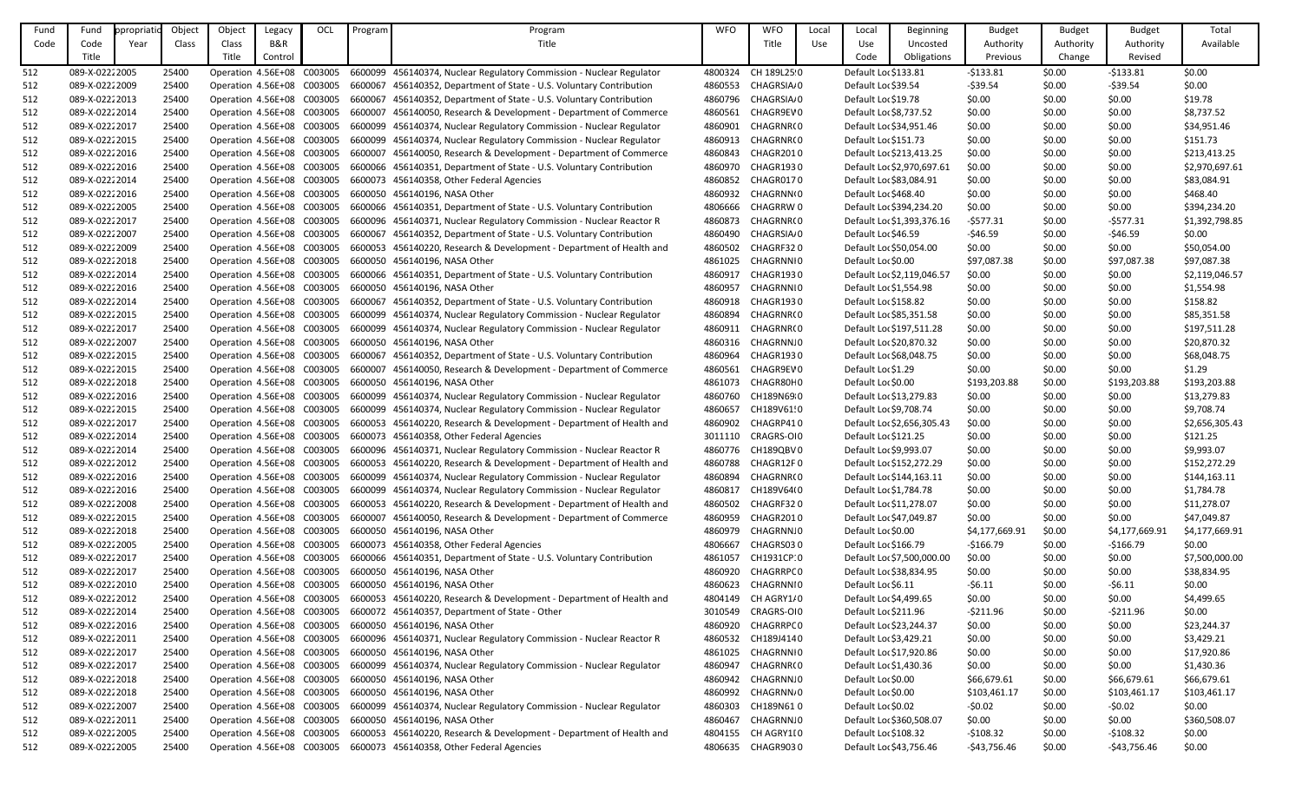| Fund | Fund            | ppropriati | Object | Object                     | Legacy  | OCL | Program | Program                                                                                         | <b>WFO</b> | <b>WFO</b>               | Local | Local                   | <b>Beginning</b>           | <b>Budget</b>  | <b>Budget</b> | <b>Budget</b>  | Total          |
|------|-----------------|------------|--------|----------------------------|---------|-----|---------|-------------------------------------------------------------------------------------------------|------------|--------------------------|-------|-------------------------|----------------------------|----------------|---------------|----------------|----------------|
| Code | Code            | Year       | Class  | Class                      | B&R     |     |         | Title                                                                                           |            | Title                    | Use   | Use                     | Uncosted                   | Authority      | Authority     | Authority      | Available      |
|      | Title           |            |        | Title                      | Control |     |         |                                                                                                 |            |                          |       | Code                    | Obligations                | Previous       | Change        | Revised        |                |
| 512  | 089-X-0222 2005 |            | 25400  | Operation 4.56E+08 C003005 |         |     |         | 6600099 456140374, Nuclear Regulatory Commission - Nuclear Regulator                            | 4800324    | CH 189L25 0              |       | Default Loc \$133.81    |                            | $-5133.81$     | \$0.00        | $-5133.81$     | \$0.00         |
| 512  | 089-X-02222009  |            | 25400  | Operation 4.56E+08 C003005 |         |     |         | 6600067 456140352, Department of State - U.S. Voluntary Contribution                            | 4860553    | CHAGRSIA <sub>/</sub> 0  |       | Default Loc \$39.54     |                            | $-539.54$      | \$0.00        | $-539.54$      | \$0.00         |
| 512  | 089-X-0222 2013 |            | 25400  | Operation 4.56E+08 C003005 |         |     | 6600067 | 456140352, Department of State - U.S. Voluntary Contribution                                    | 4860796    | CHAGRSIA <sub></sub> , 0 |       | Default Loc \$19.78     |                            | \$0.00         | \$0.00        | \$0.00         | \$19.78        |
| 512  | 089-X-0222 2014 |            | 25400  | Operation 4.56E+08 C003005 |         |     | 6600007 | 456140050, Research & Development - Department of Commerce                                      | 4860561    | CHAGR9EV 0               |       | Default Loc \$8,737.52  |                            | \$0.00         | \$0.00        | \$0.00         | \$8,737.52     |
| 512  | 089-X-0222 2017 |            | 25400  | Operation 4.56E+08 C003005 |         |     | 6600099 | 456140374, Nuclear Regulatory Commission - Nuclear Regulator                                    | 4860901    | CHAGRNR(0                |       | Default Loc \$34,951.46 |                            | \$0.00         | \$0.00        | \$0.00         | \$34,951.46    |
| 512  | 089-X-0222 2015 |            | 25400  | Operation 4.56E+08 C003005 |         |     |         | 6600099 456140374, Nuclear Regulatory Commission - Nuclear Regulator                            | 4860913    | CHAGRNR(0                |       | Default Loc \$151.73    |                            | \$0.00         | \$0.00        | \$0.00         | \$151.73       |
| 512  | 089-X-02222016  |            | 25400  | Operation 4.56E+08 C003005 |         |     | 6600007 | 456140050, Research & Development - Department of Commerce                                      | 4860843    | CHAGR2010                |       |                         | Default Loc \$213,413.25   | \$0.00         | \$0.00        | \$0.00         | \$213,413.25   |
| 512  | 089-X-02222016  |            | 25400  | Operation 4.56E+08 C003005 |         |     |         | 6600066 456140351, Department of State - U.S. Voluntary Contribution                            | 4860970    | CHAGR1930                |       |                         | Default Loc \$2,970,697.61 | \$0.00         | \$0.00        | \$0.00         | \$2,970,697.61 |
| 512  | 089-X-0222 2014 |            | 25400  | Operation 4.56E+08 C003005 |         |     |         | 6600073 456140358, Other Federal Agencies                                                       | 4860852    | CHAGR0170                |       | Default Loc \$83,084.91 |                            | \$0.00         | \$0.00        | \$0.00         | \$83,084.91    |
| 512  | 089-X-02222016  |            | 25400  | Operation 4.56E+08 C003005 |         |     | 6600050 | 456140196, NASA Other                                                                           | 4860932    | CHAGRNN(0                |       | Default Loc \$468.40    |                            | \$0.00         | \$0.00        | \$0.00         | \$468.40       |
| 512  | 089-X-02222005  |            | 25400  | Operation 4.56E+08 C003005 |         |     |         | 6600066 456140351, Department of State - U.S. Voluntary Contribution                            | 4806666    | CHAGRRW 0                |       |                         | Default Lor \$394,234.20   | \$0.00         | \$0.00        | \$0.00         | \$394,234.20   |
| 512  | 089-X-0222 2017 |            | 25400  | Operation 4.56E+08 C003005 |         |     |         | 6600096 456140371, Nuclear Regulatory Commission - Nuclear Reactor R                            | 4860873    | CHAGRNR(0                |       |                         | Default Loc \$1,393,376.16 | $-5577.31$     | \$0.00        | $-5577.31$     | \$1,392,798.85 |
| 512  | 089-X-0222 2007 |            | 25400  | Operation 4.56E+08 C003005 |         |     |         | 6600067 456140352, Department of State - U.S. Voluntary Contribution                            | 4860490    | CHAGRSIA <sub></sub> 0   |       | Default Loc \$46.59     |                            | $-$ \$46.59    | \$0.00        | -\$46.59       | \$0.00         |
| 512  | 089-X-02222009  |            | 25400  | Operation 4.56E+08 C003005 |         |     |         | 6600053 456140220, Research & Development - Department of Health and                            | 4860502    | CHAGRF320                |       | Default Lor \$50,054.00 |                            | \$0.00         | \$0.00        | \$0.00         | \$50,054.00    |
| 512  | 089-X-02222018  |            | 25400  | Operation 4.56E+08 C003005 |         |     |         | 6600050 456140196, NASA Other                                                                   | 4861025    | CHAGRNNI 0               |       | Default Loc \$0.00      |                            | \$97,087.38    | \$0.00        | \$97,087.38    | \$97,087.38    |
| 512  | 089-X-0222 2014 |            | 25400  | Operation 4.56E+08 C003005 |         |     |         | 6600066 456140351, Department of State - U.S. Voluntary Contribution                            | 4860917    | CHAGR1930                |       |                         | Default Lor \$2,119,046.57 | \$0.00         | \$0.00        | \$0.00         | \$2,119,046.57 |
| 512  | 089-X-02222016  |            | 25400  | Operation 4.56E+08 C003005 |         |     |         | 6600050 456140196, NASA Other                                                                   | 4860957    | CHAGRNNI0                |       | Default Loc \$1,554.98  |                            | \$0.00         | \$0.00        | \$0.00         | \$1,554.98     |
| 512  | 089-X-0222 2014 |            | 25400  | Operation 4.56E+08 C003005 |         |     | 6600067 | 456140352, Department of State - U.S. Voluntary Contribution                                    | 4860918    | CHAGR1930                |       | Default Lor \$158.82    |                            | \$0.00         | \$0.00        | \$0.00         | \$158.82       |
| 512  | 089-X-0222 2015 |            | 25400  | Operation 4.56E+08 C003005 |         |     |         | 6600099 456140374, Nuclear Regulatory Commission - Nuclear Regulator                            | 4860894    | CHAGRNR(0                |       | Default Loc \$85,351.58 |                            | \$0.00         | \$0.00        | \$0.00         | \$85,351.58    |
| 512  | 089-X-0222 2017 |            | 25400  | Operation 4.56E+08 C003005 |         |     |         | 6600099 456140374, Nuclear Regulatory Commission - Nuclear Regulator                            | 4860911    | CHAGRNR(0                |       |                         | Default Loc \$197,511.28   | \$0.00         | \$0.00        | \$0.00         | \$197,511.28   |
| 512  | 089-X-0222 2007 |            | 25400  |                            |         |     |         | Operation 4.56E+08 C003005 6600050 456140196, NASA Other                                        |            | 4860316 CHAGRNN.0        |       | Default Lor \$20,870.32 |                            | \$0.00         | \$0.00        | \$0.00         | \$20,870.32    |
| 512  | 089-X-02222015  |            | 25400  | Operation 4.56E+08 C003005 |         |     | 6600067 | 456140352, Department of State - U.S. Voluntary Contribution                                    | 4860964    | CHAGR1930                |       | Default Loc \$68,048.75 |                            | \$0.00         | \$0.00        | \$0.00         | \$68,048.75    |
| 512  | 089-X-0222 2015 |            | 25400  | Operation 4.56E+08 C003005 |         |     | 6600007 | 456140050, Research & Development - Department of Commerce                                      | 4860561    | CHAGR9EV 0               |       | Default Loc \$1.29      |                            | \$0.00         | \$0.00        | \$0.00         | \$1.29         |
| 512  | 089-X-02222018  |            | 25400  | Operation 4.56E+08 C003005 |         |     |         | 6600050 456140196, NASA Other                                                                   | 4861073    | CHAGR80H0                |       | Default Lor \$0.00      |                            | \$193,203.88   | \$0.00        | \$193,203.88   | \$193,203.88   |
| 512  | 089-X-02222016  |            | 25400  | Operation 4.56E+08 C003005 |         |     |         | 6600099 456140374, Nuclear Regulatory Commission - Nuclear Regulator                            | 4860760    | CH189N69 0               |       | Default Loc \$13,279.83 |                            | \$0.00         | \$0.00        | \$0.00         | \$13,279.83    |
| 512  | 089-X-02222015  |            | 25400  | Operation 4.56E+08 C003005 |         |     |         | 6600099 456140374, Nuclear Regulatory Commission - Nuclear Regulator                            | 4860657    | CH189V61!0               |       | Default Loc \$9,708.74  |                            | \$0.00         | \$0.00        | \$0.00         | \$9,708.74     |
| 512  | 089-X-02222017  |            | 25400  | Operation 4.56E+08 C003005 |         |     |         | 6600053 456140220, Research & Development - Department of Health and                            | 4860902    | CHAGRP410                |       |                         | Default Lor \$2,656,305.43 | \$0.00         | \$0.00        | \$0.00         | \$2,656,305.43 |
| 512  | 089-X-0222 2014 |            | 25400  |                            |         |     |         | Operation 4.56E+08 C003005 6600073 456140358, Other Federal Agencies                            |            | 3011110 CRAGRS-OI0       |       | Default Lor \$121.25    |                            | \$0.00         | \$0.00        | \$0.00         | \$121.25       |
| 512  | 089-X-0222 2014 |            | 25400  |                            |         |     |         | Operation 4.56E+08 C003005 6600096 456140371, Nuclear Regulatory Commission - Nuclear Reactor R |            | 4860776 CH189QBV0        |       | Default Loc \$9,993.07  |                            | \$0.00         | \$0.00        | \$0.00         | \$9,993.07     |
| 512  | 089-X-0222 2012 |            | 25400  |                            |         |     |         | Operation 4.56E+08 C003005 6600053 456140220, Research & Development - Department of Health and |            | 4860788 CHAGR12F0        |       |                         | Default Loc \$152,272.29   | \$0.00         | \$0.00        | \$0.00         | \$152,272.29   |
| 512  | 089-X-0222 2016 |            | 25400  |                            |         |     |         | Operation 4.56E+08 C003005 6600099 456140374, Nuclear Regulatory Commission - Nuclear Regulator | 4860894    | CHAGRNR(0                |       |                         | Default Loc \$144,163.11   | \$0.00         | \$0.00        | \$0.00         | \$144,163.11   |
| 512  | 089-X-02222016  |            | 25400  |                            |         |     |         | Operation 4.56E+08 C003005 6600099 456140374, Nuclear Regulatory Commission - Nuclear Regulator | 4860817    | CH189V64(0               |       | Default Loc \$1,784.78  |                            | \$0.00         | \$0.00        | \$0.00         | \$1,784.78     |
| 512  | 089-X-02222008  |            | 25400  |                            |         |     |         | Operation 4.56E+08 C003005 6600053 456140220, Research & Development - Department of Health and |            | 4860502 CHAGRF320        |       | Default Loc \$11,278.07 |                            | \$0.00         | \$0.00        | \$0.00         | \$11,278.07    |
| 512  | 089-X-02222015  |            | 25400  |                            |         |     |         | Operation 4.56E+08 C003005 6600007 456140050, Research & Development - Department of Commerce   | 4860959    | CHAGR2010                |       | Default Loc \$47,049.87 |                            | \$0.00         | \$0.00        | \$0.00         | \$47,049.87    |
| 512  | 089-X-02222018  |            | 25400  |                            |         |     |         | Operation 4.56E+08 C003005 6600050 456140196, NASA Other                                        |            | 4860979 CHAGRNN.0        |       | Default Lor \$0.00      |                            | \$4,177,669.91 | \$0.00        | \$4,177,669.91 | \$4,177,669.91 |
| 512  | 089-X-02222005  |            | 25400  |                            |         |     |         | Operation 4.56E+08 C003005 6600073 456140358, Other Federal Agencies                            | 4806667    | CHAGRS030                |       | Default Loc \$166.79    |                            | $-$166.79$     | \$0.00        | $-5166.79$     | \$0.00         |
| 512  | 089-X-0222 2017 |            | 25400  |                            |         |     |         | Operation 4.56E+08 C003005 6600066 456140351, Department of State - U.S. Voluntary Contribution | 4861057    | CH1931CP 0               |       |                         | Default Lor \$7,500,000.00 | \$0.00         | \$0.00        | \$0.00         | \$7,500,000.00 |
| 512  | 089-X-0222 2017 |            | 25400  |                            |         |     |         | Operation 4.56E+08 C003005 6600050 456140196, NASA Other                                        |            | 4860920 CHAGRRPCO        |       | Default Loc \$38,834.95 |                            | \$0.00         | \$0.00        | \$0.00         | \$38,834.95    |
| 512  | 089-X-0222 2010 |            | 25400  |                            |         |     |         | Operation 4.56E+08 C003005 6600050 456140196, NASA Other                                        | 4860623    | CHAGRNNI 0               |       | Default Loc \$6.11      |                            | $-56.11$       | \$0.00        | $-56.11$       | \$0.00         |
| 512  | 089-X-02222012  |            | 25400  | Operation 4.56E+08 C003005 |         |     |         | 6600053 456140220, Research & Development - Department of Health and                            |            | 4804149 CH AGRY1/0       |       | Default Loc \$4,499.65  |                            | \$0.00         | \$0.00        | \$0.00         | \$4,499.65     |
| 512  | 089-X-0222 2014 |            | 25400  |                            |         |     |         | Operation 4.56E+08 C003005 6600072 456140357, Department of State - Other                       |            | 3010549 CRAGRS-OI0       |       | Default Loc \$211.96    |                            | $-5211.96$     | \$0.00        | $-5211.96$     | \$0.00         |
| 512  | 089-X-02222016  |            | 25400  |                            |         |     |         | Operation 4.56E+08 C003005 6600050 456140196, NASA Other                                        |            | 4860920 CHAGRRPC 0       |       | Default Loc \$23,244.37 |                            | \$0.00         | \$0.00        | \$0.00         | \$23,244.37    |
| 512  | 089-X-02222011  |            | 25400  |                            |         |     |         | Operation 4.56E+08 C003005 6600096 456140371, Nuclear Regulatory Commission - Nuclear Reactor R |            | 4860532 CH189J4140       |       | Default Loc \$3,429.21  |                            | \$0.00         | \$0.00        | \$0.00         | \$3,429.21     |
| 512  | 089-X-0222 2017 |            | 25400  |                            |         |     |         | Operation 4.56E+08 C003005 6600050 456140196, NASA Other                                        | 4861025    | CHAGRNNI 0               |       | Default Loc \$17,920.86 |                            | \$0.00         | \$0.00        | \$0.00         | \$17,920.86    |
| 512  | 089-X-0222 2017 |            | 25400  | Operation 4.56E+08 C003005 |         |     |         | 6600099 456140374, Nuclear Regulatory Commission - Nuclear Regulator                            | 4860947    | CHAGRNR(0                |       | Default Loc \$1,430.36  |                            | \$0.00         | \$0.00        | \$0.00         | \$1,430.36     |
| 512  | 089-X-02222018  |            | 25400  | Operation 4.56E+08 C003005 |         |     |         | 6600050 456140196, NASA Other                                                                   | 4860942    | CHAGRNN.0                |       | Default Lor \$0.00      |                            | \$66,679.61    | \$0.00        | \$66,679.61    | \$66,679.61    |
| 512  | 089-X-02222018  |            | 25400  |                            |         |     |         | Operation 4.56E+08 C003005 6600050 456140196, NASA Other                                        | 4860992    | CHAGRNN <sub></sub> , 0  |       | Default Lor \$0.00      |                            | \$103,461.17   | \$0.00        | \$103,461.17   | \$103,461.17   |
| 512  | 089-X-02222007  |            | 25400  |                            |         |     |         | Operation 4.56E+08 C003005 6600099 456140374, Nuclear Regulatory Commission - Nuclear Regulator | 4860303    | CH189N610                |       | Default Loc \$0.02      |                            | $-50.02$       | \$0.00        | $-50.02$       | \$0.00         |
| 512  | 089-X-02222011  |            | 25400  |                            |         |     |         | Operation 4.56E+08 C003005 6600050 456140196, NASA Other                                        | 4860467    | CHAGRNN.0                |       |                         | Default Lor \$360,508.07   | \$0.00         | \$0.00        | \$0.00         | \$360,508.07   |
| 512  | 089-X-0222 2005 |            | 25400  | Operation 4.56E+08 C003005 |         |     |         | 6600053 456140220, Research & Development - Department of Health and                            | 4804155    | CH AGRY1I 0              |       | Default Lor \$108.32    |                            | $-5108.32$     | \$0.00        | $-5108.32$     | \$0.00         |
| 512  | 089-X-0222 2005 |            | 25400  |                            |         |     |         | Operation 4.56E+08 C003005 6600073 456140358, Other Federal Agencies                            |            | 4806635 CHAGR9030        |       | Default Loc \$43,756.46 |                            | -\$43,756.46   | \$0.00        | $-$43,756.46$  | \$0.00         |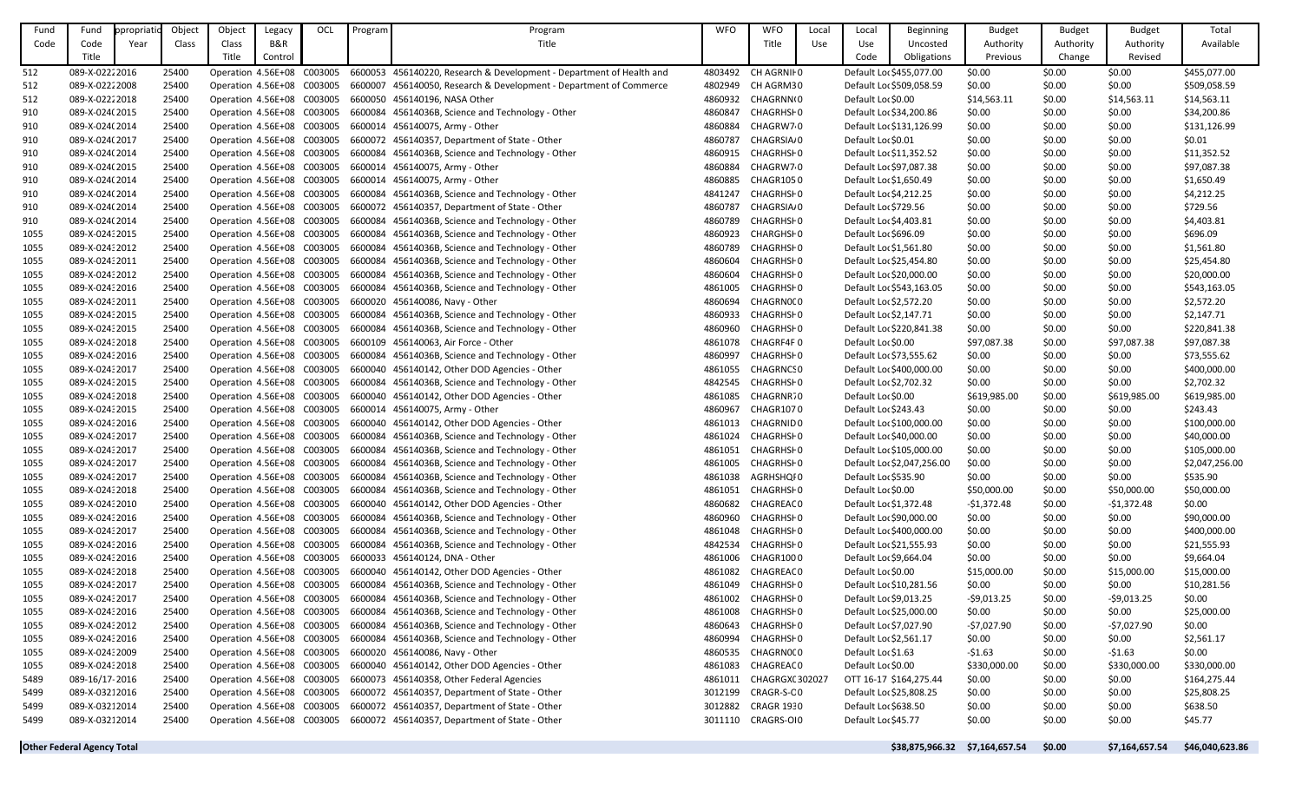| Fund | Fund                              | ppropriatio | Object | Object                     | Legacy         | OCL | Program | Program                                                                                         | <b>WFO</b> | <b>WFO</b>              | Local | Local                   | <b>Beginning</b>               | <b>Budget</b> | <b>Budget</b> | <b>Budget</b>  | Total           |
|------|-----------------------------------|-------------|--------|----------------------------|----------------|-----|---------|-------------------------------------------------------------------------------------------------|------------|-------------------------|-------|-------------------------|--------------------------------|---------------|---------------|----------------|-----------------|
| Code | Code                              | Year        | Class  | Class                      | <b>B&amp;R</b> |     |         | Title                                                                                           |            | Title                   | Use   | Use                     | Uncosted                       | Authority     | Authority     | Authority      | Available       |
|      | Title                             |             |        | Title                      | Control        |     |         |                                                                                                 |            |                         |       | Code                    | Obligations                    | Previous      | Change        | Revised        |                 |
| 512  | 089-X-0222 2016                   |             | 25400  |                            |                |     |         | Operation 4.56E+08 C003005 6600053 456140220, Research & Development - Department of Health and | 4803492    | CH AGRNII 0             |       |                         | Default Lor \$455,077.00       | \$0.00        | \$0.00        | \$0.00         | \$455,077.00    |
| 512  | 089-X-02222008                    |             | 25400  |                            |                |     |         | Operation 4.56E+08 C003005 6600007 456140050, Research & Development - Department of Commerce   | 4802949    | CH AGRM30               |       |                         | Default Lor \$509,058.59       | \$0.00        | \$0.00        | \$0.00         | \$509,058.59    |
| 512  | 089-X-02222018                    |             | 25400  | Operation 4.56E+08 C003005 |                |     |         | 6600050 456140196, NASA Other                                                                   | 4860932    | CHAGRNN(0               |       | Default Lor \$0.00      |                                | \$14,563.11   | \$0.00        | \$14,563.11    | \$14,563.11     |
| 910  | 089-X-024(2015                    |             | 25400  | Operation 4.56E+08 C003005 |                |     |         | 6600084 45614036B, Science and Technology - Other                                               | 4860847    | CHAGRHSI 0              |       | Default Loc \$34,200.86 |                                | \$0.00        | \$0.00        | \$0.00         | \$34,200.86     |
| 910  | 089-X-024(2014                    |             | 25400  | Operation 4.56E+08 C003005 |                |     |         | 6600014 456140075, Army - Other                                                                 | 4860884    | CHAGRW7 0               |       |                         | Default Loc \$131,126.99       | \$0.00        | \$0.00        | \$0.00         | \$131,126.99    |
| 910  | 089-X-024(2017                    |             | 25400  | Operation 4.56E+08 C003005 |                |     |         | 6600072 456140357, Department of State - Other                                                  | 4860787    | CHAGRSIA <sub>0</sub>   |       | Default Lor \$0.01      |                                | \$0.00        | \$0.00        | \$0.00         | \$0.01          |
| 910  | 089-X-024(2014                    |             | 25400  |                            |                |     |         | Operation 4.56E+08 C003005 6600084 45614036B, Science and Technology - Other                    | 4860915    | CHAGRHSI 0              |       | Default Loc \$11,352.52 |                                | \$0.00        | \$0.00        | \$0.00         | \$11,352.52     |
| 910  | 089-X-024(2015                    |             | 25400  | Operation 4.56E+08 C003005 |                |     |         | 6600014 456140075, Army - Other                                                                 | 4860884    | CHAGRW70                |       | Default Loc \$97,087.38 |                                | \$0.00        | \$0.00        | \$0.00         | \$97,087.38     |
| 910  | 089-X-024(2014                    |             | 25400  | Operation 4.56E+08 C003005 |                |     |         | 6600014 456140075, Army - Other                                                                 | 4860885    | CHAGR1050               |       | Default Loc \$1,650.49  |                                | \$0.00        | \$0.00        | \$0.00         | \$1,650.49      |
| 910  | 089-X-024(2014                    |             | 25400  | Operation 4.56E+08 C003005 |                |     | 6600084 | 45614036B, Science and Technology - Other                                                       | 4841247    | CHAGRHSF 0              |       | Default Loc \$4,212.25  |                                | \$0.00        | \$0.00        | \$0.00         | \$4,212.25      |
| 910  | 089-X-024(2014                    |             | 25400  |                            |                |     |         | Operation 4.56E+08 C003005 6600072 456140357, Department of State - Other                       | 4860787    | CHAGRSIA <sub>'</sub> 0 |       | Default Loc \$729.56    |                                | \$0.00        | \$0.00        | \$0.00         | \$729.56        |
| 910  | 089-X-024(2014                    |             | 25400  | Operation 4.56E+08 C003005 |                |     |         | 6600084 45614036B, Science and Technology - Other                                               | 4860789    | <b>CHAGRHSI 0</b>       |       | Default Loc \$4,403.81  |                                | \$0.00        | \$0.00        | \$0.00         | \$4,403.81      |
| 1055 | 089-X-024: 2015                   |             | 25400  |                            |                |     |         | Operation 4.56E+08 C003005 6600084 45614036B, Science and Technology - Other                    | 4860923    | CHARGHSF 0              |       | Default Loc \$696.09    |                                | \$0.00        | \$0.00        | \$0.00         | \$696.09        |
| 1055 | 089-X-024: 2012                   |             | 25400  |                            |                |     |         | Operation 4.56E+08 C003005 6600084 45614036B, Science and Technology - Other                    | 4860789    | CHAGRHSF 0              |       | Default Lor \$1,561.80  |                                | \$0.00        | \$0.00        | \$0.00         | \$1,561.80      |
| 1055 | 089-X-024: 2011                   |             | 25400  |                            |                |     |         | Operation 4.56E+08 C003005 6600084 45614036B, Science and Technology - Other                    | 4860604    | CHAGRHSI 0              |       | Default Lor \$25,454.80 |                                | \$0.00        | \$0.00        | \$0.00         | \$25,454.80     |
| 1055 | 089-X-024: 2012                   |             | 25400  |                            |                |     |         | Operation 4.56E+08 C003005 6600084 45614036B, Science and Technology - Other                    | 4860604    | CHAGRHSI 0              |       | Default Lor \$20,000.00 |                                | \$0.00        | \$0.00        | \$0.00         | \$20,000.00     |
| 1055 | 089-X-024: 2016                   |             | 25400  | Operation 4.56E+08 C003005 |                |     |         | 6600084 45614036B, Science and Technology - Other                                               | 4861005    | CHAGRHSI 0              |       |                         | Default Loc \$543,163.05       | \$0.00        | \$0.00        | \$0.00         | \$543,163.05    |
| 1055 | 089-X-024: 2011                   |             | 25400  | Operation 4.56E+08 C003005 |                |     |         | 6600020 456140086, Navy - Other                                                                 | 4860694    | CHAGRN0(0               |       | Default Lor \$2,572.20  |                                | \$0.00        | \$0.00        | \$0.00         | \$2,572.20      |
| 1055 | 089-X-024: 2015                   |             | 25400  | Operation 4.56E+08 C003005 |                |     |         | 6600084 45614036B, Science and Technology - Other                                               | 4860933    | CHAGRHSI 0              |       | Default Loc \$2,147.71  |                                | \$0.00        | \$0.00        | \$0.00         | \$2,147.71      |
| 1055 | 089-X-024: 2015                   |             | 25400  |                            |                |     |         | Operation 4.56E+08 C003005 6600084 45614036B, Science and Technology - Other                    | 4860960    | CHAGRHSI 0              |       |                         | Default Loc \$220,841.38       | \$0.00        | \$0.00        | \$0.00         | \$220,841.38    |
| 1055 | 089-X-024: 2018                   |             | 25400  |                            |                |     |         | Operation 4.56E+08 C003005 6600109 456140063, Air Force - Other                                 | 4861078    | CHAGRF4F0               |       | Default Lor \$0.00      |                                | \$97,087.38   | \$0.00        | \$97,087.38    | \$97,087.38     |
| 1055 | 089-X-024: 2016                   |             | 25400  | Operation 4.56E+08 C003005 |                |     |         | 6600084 45614036B, Science and Technology - Other                                               | 4860997    | <b>CHAGRHSHO</b>        |       | Default Loc \$73,555.62 |                                | \$0.00        | \$0.00        | \$0.00         | \$73,555.62     |
| 1055 | 089-X-024: 2017                   |             | 25400  | Operation 4.56E+08 C003005 |                |     |         | 6600040 456140142, Other DOD Agencies - Other                                                   | 4861055    | CHAGRNCS 0              |       |                         | Default Lor \$400,000.00       | \$0.00        | \$0.00        | \$0.00         | \$400,000.00    |
| 1055 | 089-X-024: 2015                   |             | 25400  | Operation 4.56E+08 C003005 |                |     |         | 6600084 45614036B, Science and Technology - Other                                               | 4842545    | CHAGRHSI 0              |       | Default Loc \$2,702.32  |                                | \$0.00        | \$0.00        | \$0.00         | \$2,702.32      |
| 1055 | 089-X-024: 2018                   |             | 25400  | Operation 4.56E+08 C003005 |                |     |         | 6600040 456140142, Other DOD Agencies - Other                                                   | 4861085    | CHAGRNR.0               |       | Default Lor \$0.00      |                                | \$619,985.00  | \$0.00        | \$619,985.00   | \$619,985.00    |
| 1055 | 089-X-02432015                    |             | 25400  |                            |                |     |         | Operation 4.56E+08 C003005 6600014 456140075, Army - Other                                      | 4860967    | CHAGR1070               |       | Default Loc \$243.43    |                                | \$0.00        | \$0.00        | \$0.00         | \$243.43        |
| 1055 | 089-X-024: 2016                   |             | 25400  | Operation 4.56E+08 C003005 |                |     |         | 6600040 456140142, Other DOD Agencies - Other                                                   | 4861013    | CHAGRNID 0              |       |                         | Default Lor \$100,000.00       | \$0.00        | \$0.00        | \$0.00         | \$100,000.00    |
| 1055 | 089-X-024: 2017                   |             | 25400  |                            |                |     |         | Operation 4.56E+08 C003005 6600084 45614036B, Science and Technology - Other                    | 4861024    | CHAGRHSI 0              |       | Default Lor \$40,000.00 |                                | \$0.00        | \$0.00        | \$0.00         | \$40,000.00     |
| 1055 | 089-X-024: 2017                   |             | 25400  |                            |                |     |         | Operation 4.56E+08 C003005 6600084 45614036B, Science and Technology - Other                    |            | 4861051 CHAGRHSF0       |       |                         | Default Lor \$105,000.00       | \$0.00        | \$0.00        | \$0.00         | \$105,000.00    |
| 1055 | 089-X-024: 2017                   |             | 25400  |                            |                |     |         | Operation 4.56E+08 C003005 6600084 45614036B, Science and Technology - Other                    | 4861005    | CHAGRHSI 0              |       |                         | Default Lor \$2,047,256.00     | \$0.00        | \$0.00        | \$0.00         | \$2,047,256.00  |
| 1055 | 089-X-024: 2017                   |             | 25400  |                            |                |     |         | Operation 4.56E+08 C003005 6600084 45614036B, Science and Technology - Other                    |            | 4861038 AGRHSHQI0       |       | Default Lor \$535.90    |                                | \$0.00        | \$0.00        | \$0.00         | \$535.90        |
| 1055 | 089-X-02432018                    |             | 25400  |                            |                |     |         | Operation 4.56E+08 C003005 6600084 45614036B, Science and Technology - Other                    | 4861051    | CHAGRHSI 0              |       | Default Lor \$0.00      |                                | \$50,000.00   | \$0.00        | \$50,000.00    | \$50,000.00     |
| 1055 | 089-X-024: 2010                   |             | 25400  |                            |                |     |         | Operation 4.56E+08 C003005 6600040 456140142, Other DOD Agencies - Other                        | 4860682    | CHAGREAC 0              |       | Default Lor \$1,372.48  |                                | $-51,372.48$  | \$0.00        | $-51,372.48$   | \$0.00          |
| 1055 | 089-X-024: 2016                   |             | 25400  | Operation 4.56E+08 C003005 |                |     |         | 6600084 45614036B, Science and Technology - Other                                               | 4860960    | <b>CHAGRHSI 0</b>       |       | Default Lor \$90,000.00 |                                | \$0.00        | \$0.00        | \$0.00         | \$90,000.00     |
| 1055 | 089-X-024: 2017                   |             | 25400  | Operation 4.56E+08 C003005 |                |     |         | 6600084 45614036B, Science and Technology - Other                                               |            | 4861048 CHAGRHSH0       |       |                         | Default Lor \$400,000.00       | \$0.00        | \$0.00        | \$0.00         | \$400,000.00    |
| 1055 | 089-X-024: 2016                   |             | 25400  | Operation 4.56E+08 C003005 |                |     |         | 6600084 45614036B, Science and Technology - Other                                               | 4842534    | CHAGRHSI 0              |       | Default Loc \$21,555.93 |                                | \$0.00        | \$0.00        | \$0.00         | \$21,555.93     |
| 1055 | 089-X-024: 2016                   |             | 25400  |                            |                |     |         | Operation 4.56E+08 C003005 6600033 456140124, DNA - Other                                       |            | 4861006 CHAGR1000       |       | Default Loc \$9,664.04  |                                | \$0.00        | \$0.00        | \$0.00         | \$9,664.04      |
| 1055 | 089-X-02432018                    |             | 25400  |                            |                |     |         | Operation 4.56E+08 C003005 6600040 456140142, Other DOD Agencies - Other                        |            | 4861082 CHAGREACO       |       | Default Lor \$0.00      |                                | \$15,000.00   | \$0.00        | \$15,000.00    | \$15,000.00     |
| 1055 | 089-X-024: 2017                   |             | 25400  | Operation 4.56E+08 C003005 |                |     |         | 6600084 45614036B, Science and Technology - Other                                               | 4861049    | CHAGRHSI 0              |       | Default Loc \$10,281.56 |                                | \$0.00        | \$0.00        | \$0.00         | \$10,281.56     |
| 1055 | 089-X-024: 2017                   |             | 25400  | Operation 4.56E+08 C003005 |                |     |         | 6600084 45614036B, Science and Technology - Other                                               |            | 4861002 CHAGRHSH0       |       | Default Loc \$9,013.25  |                                | $-59,013.25$  | \$0.00        | $-59,013.25$   | \$0.00          |
| 1055 | 089-X-024: 2016                   |             | 25400  | Operation 4.56E+08 C003005 |                |     | 6600084 | 45614036B, Science and Technology - Other                                                       | 4861008    | CHAGRHSI 0              |       | Default Lor \$25,000.00 |                                | \$0.00        | \$0.00        | \$0.00         | \$25,000.00     |
| 1055 | 089-X-024: 2012                   |             | 25400  | Operation 4.56E+08 C003005 |                |     |         | 6600084 45614036B, Science and Technology - Other                                               | 4860643    | CHAGRHSI 0              |       | Default Loc \$7,027.90  |                                | $-57,027.90$  | \$0.00        | -\$7,027.90    | \$0.00          |
| 1055 | 089-X-024: 2016                   |             | 25400  |                            |                |     |         | Operation 4.56E+08 C003005 6600084 45614036B, Science and Technology - Other                    | 4860994    | CHAGRHSI 0              |       | Default Loc \$2,561.17  |                                | \$0.00        | \$0.00        | \$0.00         | \$2,561.17      |
| 1055 | 089-X-02432009                    |             | 25400  | Operation 4.56E+08 C003005 |                |     |         | 6600020 456140086, Navy - Other                                                                 | 4860535    | CHAGRN0(0               |       | Default Loc \$1.63      |                                | $-51.63$      | \$0.00        | $-51.63$       | \$0.00          |
| 1055 | 089-X-024: 2018                   |             | 25400  | Operation 4.56E+08 C003005 |                |     |         | 6600040 456140142, Other DOD Agencies - Other                                                   | 4861083    | CHAGREAC 0              |       | Default Lor \$0.00      |                                | \$330,000.00  | \$0.00        | \$330,000.00   | \$330,000.00    |
| 5489 | 089-16/17-2016                    |             | 25400  | Operation 4.56E+08 C003005 |                |     |         | 6600073 456140358, Other Federal Agencies                                                       | 4861011    | CHAGRGX(302027          |       |                         | OTT 16-17 \$164,275.44         | \$0.00        | \$0.00        | \$0.00         | \$164,275.44    |
| 5499 | 089-X-03212016                    |             | 25400  | Operation 4.56E+08 C003005 |                |     |         | 6600072 456140357, Department of State - Other                                                  |            | 3012199 CRAGR-S-CO      |       | Default Loc \$25,808.25 |                                | \$0.00        | \$0.00        | \$0.00         | \$25,808.25     |
| 5499 | 089-X-03212014                    |             | 25400  | Operation 4.56E+08 C003005 |                |     |         | 6600072 456140357, Department of State - Other                                                  |            | 3012882 CRAGR 1930      |       | Default Loc \$638.50    |                                | \$0.00        | \$0.00        | \$0.00         | \$638.50        |
| 5499 | 089-X-03212014                    |             | 25400  |                            |                |     |         | Operation 4.56E+08 C003005 6600072 456140357, Department of State - Other                       |            | 3011110 CRAGRS-OI0      |       | Default Loc \$45.77     |                                | \$0.00        | \$0.00        | \$0.00         | \$45.77         |
|      | <b>Other Federal Agency Total</b> |             |        |                            |                |     |         |                                                                                                 |            |                         |       |                         | \$38,875,966.32 \$7,164,657.54 |               | \$0.00        | \$7,164,657.54 | \$46,040,623.86 |